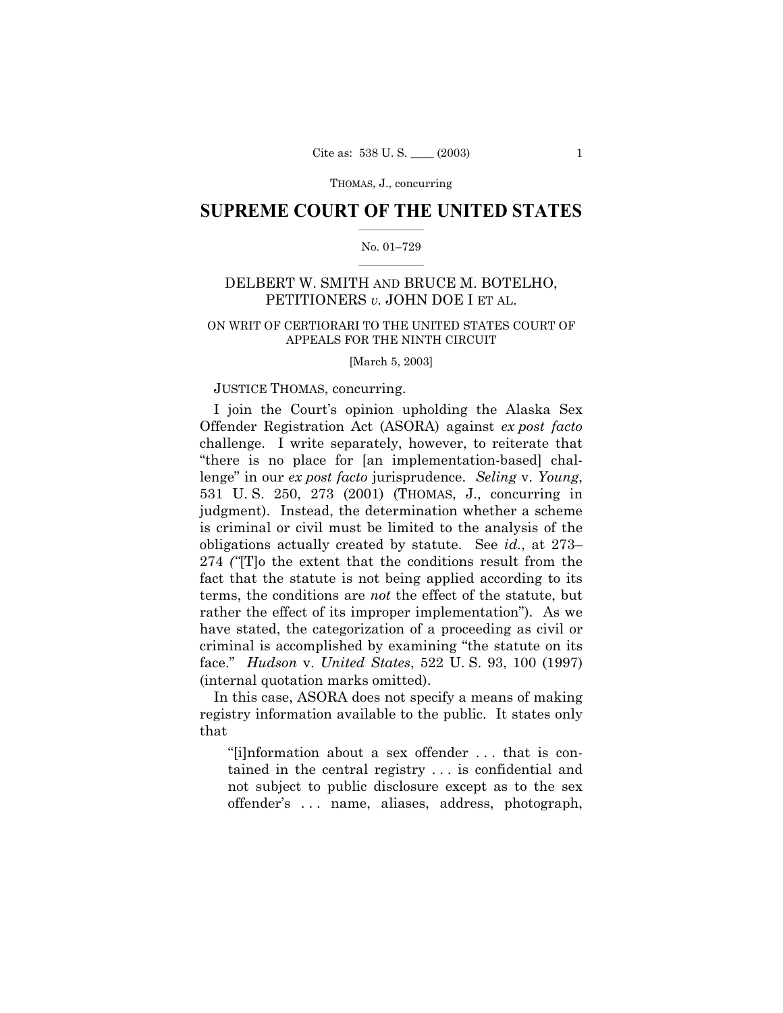THOMAS, J., concurring

# **SUPREME COURT OF THE UNITED STATES**

#### No. 01-729

# DELBERT W. SMITH AND BRUCE M. BOTELHO, PETITIONERS v. JOHN DOE I ET AL.

### ON WRIT OF CERTIORARI TO THE UNITED STATES COURT OF APPEALS FOR THE NINTH CIRCUIT

[March 5, 2003]

#### JUSTICE THOMAS, concurring.

I join the Court's opinion upholding the Alaska Sex Offender Registration Act (ASORA) against expost facto challenge. I write separately, however, to reiterate that "there is no place for [an implementation-based] challenge" in our ex post facto jurisprudence. Seling v. Young, 531 U.S. 250, 273 (2001) (THOMAS, J., concurring in judgment). Instead, the determination whether a scheme is criminal or civil must be limited to the analysis of the obligations actually created by statute. See id., at 273– 274 ("To the extent that the conditions result from the fact that the statute is not being applied according to its terms, the conditions are *not* the effect of the statute, but rather the effect of its improper implementation"). As we have stated, the categorization of a proceeding as civil or criminal is accomplished by examining "the statute on its face." *Hudson v. United States*, 522 U.S. 93, 100 (1997) (internal quotation marks omitted).

In this case, ASORA does not specify a means of making registry information available to the public. It states only that

"[i]nformation about a sex offender ... that is contained in the central registry ... is confidential and not subject to public disclosure except as to the sex offender's ... name, aliases, address, photograph,